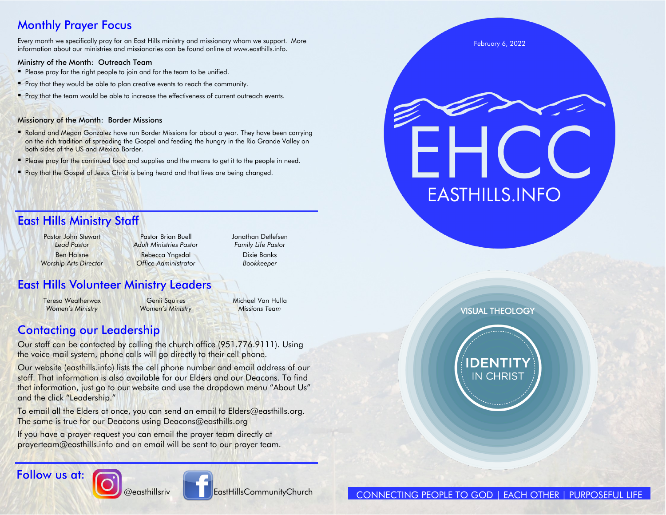### Monthly Prayer Focus

Every month we specifically pray for an East Hills ministry and missionary whom we support. More information about our ministries and missionaries can be found online at www.easthills.info.

#### Ministry of the Month: Outreach Team

- Please pray for the right people to join and for the team to be unified.
- Pray that they would be able to plan creative events to reach the community.
- Pray that the team would be able to increase the effectiveness of current outreach events.

#### Missionary of the Month: Border Missions

- Roland and Megan Gonzalez have run Border Missions for about a year. They have been carrying on the rich tradition of spreading the Gospel and feeding the hungry in the Rio Grande Valley on both sides of the US and Mexico Border.
- **Please pray for the continued food and supplies and the means to get it to the people in need.**
- **Pray that the Gospel of Jesus Christ is being heard and that lives are being changed.**

### East Hills Ministry Staff

Pastor John Stewart **Pastor Brian Buell** Pastor Brian Buell Jonathan Detlefsen *Worship Arts Director Office Administrator Bookkeeper*

*Lead Pastor Adult Ministries Pastor Family Life Pastor* Ben Halsne Rebecca Yngsdal Dixie Banks

### East Hills Volunteer Ministry Leaders

Teresa Weatherwax **Genii Squires** Michael Van Hulla *Women's Ministry Women's Ministry Missions Team*

### Contacting our Leadership

Our staff can be contacted by calling the church office (951.776.9111). Using the voice mail system, phone calls will go directly to their cell phone.

Our website (easthills.info) lists the cell phone number and email address of our staff. That information is also available for our Elders and our Deacons. To find that information, just go to our website and use the dropdown menu "About Us" and the click "Leadership."

To email all the Elders at once, you can send an email to Elders@easthills.org. The same is true for our Deacons using Deacons@easthills.org

If you have a prayer request you can email the prayer team directly at prayerteam@easthills.info and an email will be sent to our prayer team.





**@easthillsriv CommunityChurch** 



VISUAL THEOLOGY

**EASTHILLS.INFO** 

February 6, 2022

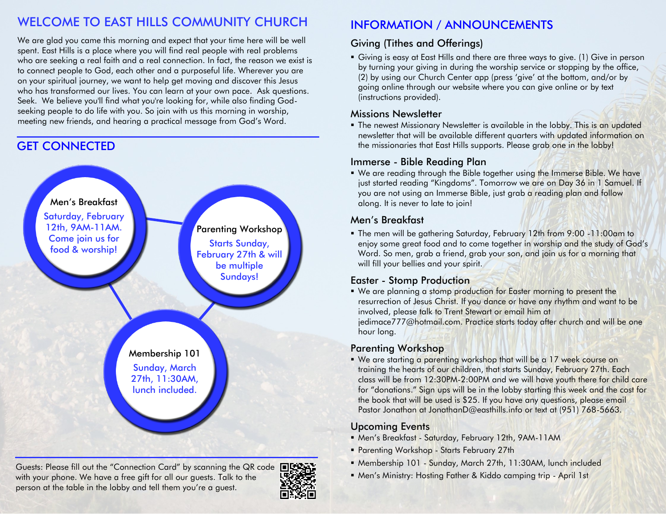### WELCOME TO EAST HILLS COMMUNITY CHURCH

We are glad you came this morning and expect that your time here will be well spent. East Hills is a place where you will find real people with real problems who are seeking a real faith and a real connection. In fact, the reason we exist is to connect people to God, each other and a purposeful life. Wherever you are on your spiritual journey, we want to help get moving and discover this Jesus who has transformed our lives. You can learn at your own pace. Ask questions. Seek. We believe you'll find what you're looking for, while also finding Godseeking people to do life with you. So join with us this morning in worship, meeting new friends, and hearing a practical message from God's Word.

### GET CONNECTED



Guests: Please fill out the "Connection Card" by scanning the QR code  $\blacksquare$ with your phone. We have a free gift for all our guests. Talk to the person at the table in the lobby and tell them you're a guest.



### INFORMATION / ANNOUNCEMENTS

### Giving (Tithes and Offerings)

▪ Giving is easy at East Hills and there are three ways to give. (1) Give in person by turning your giving in during the worship service or stopping by the office, (2) by using our Church Center app (press 'give' at the bottom, and/or by going online through our website where you can give online or by text (instructions provided).

#### Missions Newsletter

**• The newest Missionary Newsletter is available in the lobby. This is an updated** newsletter that will be available different quarters with updated information on the missionaries that East Hills supports. Please grab one in the lobby!

#### Immerse - Bible Reading Plan

■ We are reading through the Bible together using the Immerse Bible. We have just started reading "Kingdoms". Tomorrow we are on Day 36 in 1 Samuel. If you are not using an Immerse Bible, just grab a reading plan and follow along. It is never to late to join!

#### Men's Breakfast

■ The men will be gathering Saturday, February 12th from 9:00 -11:00am to enjoy some great food and to come together in worship and the study of God's Word. So men, grab a friend, grab your son, and join us for a morning that will fill your bellies and your spirit.

#### Easter - Stomp Production

■ We are planning a stomp production for Easter morning to present the resurrection of Jesus Christ. If you dance or have any rhythm and want to be involved, please talk to Trent Stewart or email him at jedimace777@hotmail.com. Practice starts today after church and will be one hour long.

#### Parenting Workshop

. We are starting a parenting workshop that will be a 17 week course on training the hearts of our children, that starts Sunday, February 27th. Each class will be from 12:30PM-2:00PM and we will have youth there for child care for "donations." Sign ups will be in the lobby starting this week and the cost for the book that will be used is \$25. If you have any questions, please email Pastor Jonathan at JonathanD@easthills.info or text at (951) 768-5663.

#### Upcoming Events

- Men's Breakfast Saturday, February 12th, 9AM-11AM
- **Parenting Workshop Starts February 27th**
- Membership 101 Sunday, March 27th, 11:30AM, lunch included
- Men's Ministry: Hosting Father & Kiddo camping trip April 1st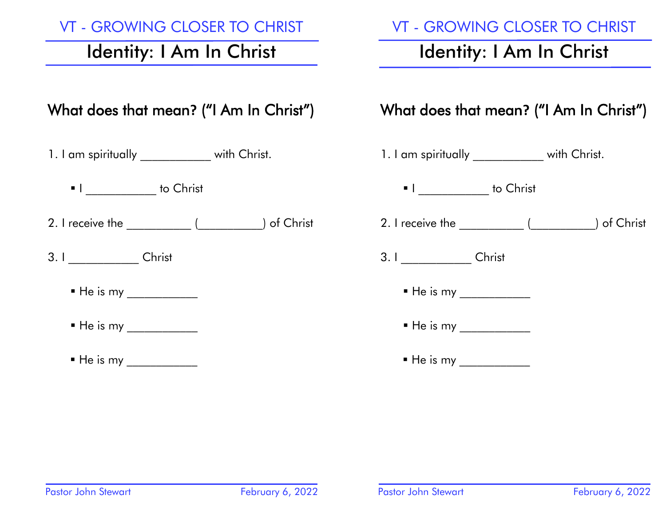### VT - GROWING CLOSER TO CHRIST

# Identity: I Am In Christ

# What does that mean**?** ("I Am In Christ")

- 1. I am spiritually **Example 2** with Christ.
	- I do Christ
- 2. I receive the \_\_\_\_\_\_\_\_\_\_\_ (\_\_\_\_\_\_\_\_\_\_\_) of Christ
- 3. I Christ
	- He is my \_\_\_\_\_\_\_\_\_\_\_\_
	- He is my \_\_\_\_\_\_\_\_\_\_\_\_
	- $\blacksquare$  He is my

### VT - GROWING CLOSER TO CHRIST

# Identity: I Am In Christ

## What does that mean**?** ("I Am In Christ")

- 1. I am spiritually \_\_\_\_\_\_\_\_\_\_\_\_ with Christ. ■ I do Christ 2. I receive the  $($  and  $)$  of Christ 3. I Christ  $\blacksquare$  He is my \_\_\_\_\_\_\_\_\_\_\_\_\_ ▪ He is my \_\_\_\_\_\_\_\_\_\_\_\_
	- He is my \_\_\_\_\_\_\_\_\_\_\_\_